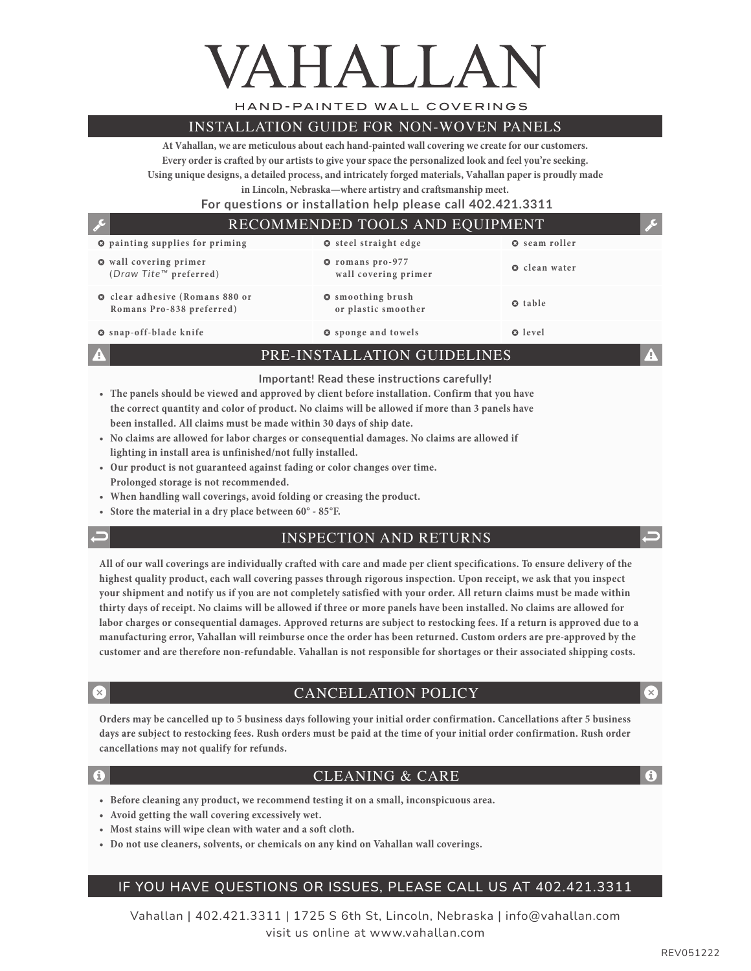# VAHALLA

HAND-PAINTED WALL COVERINGS

#### INSTALLATION GUIDE FOR NON-WOVEN PANELS

**At Vahallan, we are meticulous about each hand-painted wall covering we create for our customers. Every order is crafted by our artists to give your space the personalized look and feel you're seeking. Using unique designs, a detailed process, and intricately forged materials, Vahallan paper is proudly made** 

**in Lincoln, Nebraska—where artistry and craftsmanship meet.** 

 **For questions or installation help please call 402.421.3311**

#### $\bullet$  painting supplies for priming  $\bullet$  steel straight edge  $\bullet$  seam roller  $\bullet$  wall covering primer **(***Draw Tite™* **preferred)** � **romans pro-977 wall covering primer** � **clean water**  $\odot$  clear adhesive (Romans 880 or **Romans Pro-838 preferred)** � **smoothing brush or plastic smoother o** table � **snap-off-blade knife** � **sponge and towels** � **level** RECOMMENDED TOOLS AND EQUIPMENT

PRE-INSTALLATION GUIDELINES

#### **Important! Read these instructions carefully!**

- **• The panels should be viewed and approved by client before installation. Confirm that you have the correct quantity and color of product. No claims will be allowed if more than 3 panels have been installed. All claims must be made within 30 days of ship date.**
- **• No claims are allowed for labor charges or consequential damages. No claims are allowed if lighting in install area is unfinished/not fully installed.**
- **• Our product is not guaranteed against fading or color changes over time. Prolonged storage is not recommended.**
- **• When handling wall coverings, avoid folding or creasing the product.**
- **• Store the material in a dry place between 60° 85°F.**
- 

#### INSPECTION AND RETURNS

**All of our wall coverings are individually crafted with care and made per client specifications. To ensure delivery of the highest quality product, each wall covering passes through rigorous inspection. Upon receipt, we ask that you inspect your shipment and notify us if you are not completely satisfied with your order. All return claims must be made within thirty days of receipt. No claims will be allowed if three or more panels have been installed. No claims are allowed for labor charges or consequential damages. Approved returns are subject to restocking fees. If a return is approved due to a manufacturing error, Vahallan will reimburse once the order has been returned. Custom orders are pre-approved by the customer and are therefore non-refundable. Vahallan is not responsible for shortages or their associated shipping costs.**

#### CANCELLATION POLICY

**Orders may be cancelled up to 5 business days following your initial order confirmation. Cancellations after 5 business days are subject to restocking fees. Rush orders must be paid at the time of your initial order confirmation. Rush order cancellations may not qualify for refunds.**

#### CLEANING & CARE

- **• Before cleaning any product, we recommend testing it on a small, inconspicuous area.**
- **• Avoid getting the wall covering excessively wet.**
- **• Most stains will wipe clean with water and a soft cloth.**
- **• Do not use cleaners, solvents, or chemicals on any kind on Vahallan wall coverings.**

#### IF YOU HAVE QUESTIONS OR ISSUES, PLEASE CALL US AT 402.421.3311

Vahallan | 402.421.3311 | 1725 S 6th St, Lincoln, Nebraska | info@vahallan.com visit us online at www.vahallan.com